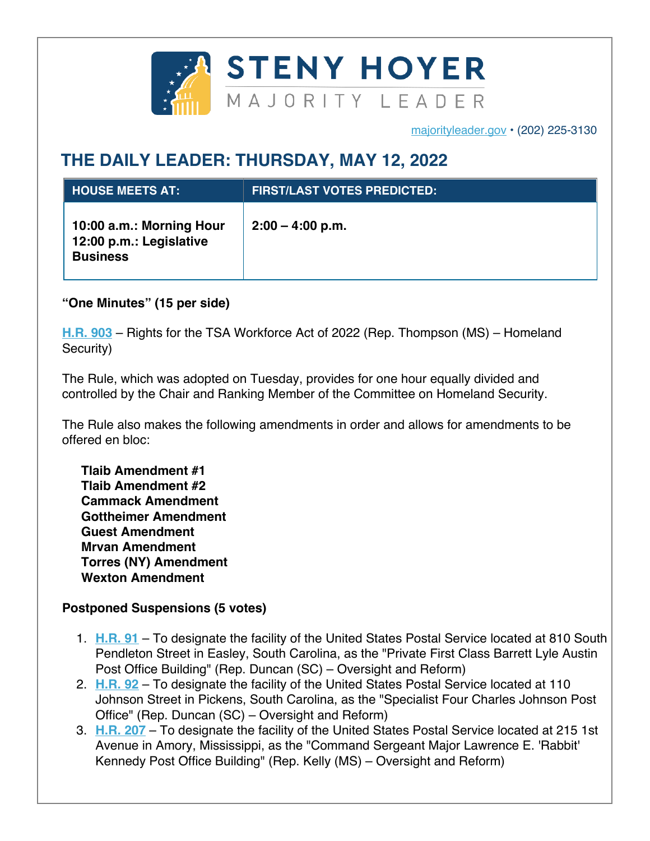

majorityleader.gov • (202) 225-3130

## **THE DAILY LEADER: THURSDAY, MAY 12, 2022**

| <b>L HOUSE MEETS AT:</b>                                               | <b>FIRST/LAST VOTES PREDICTED:</b> |
|------------------------------------------------------------------------|------------------------------------|
| 10:00 a.m.: Morning Hour<br>12:00 p.m.: Legislative<br><b>Business</b> | $2:00 - 4:00$ p.m.                 |

**"One Minutes" (15 per side)**

**H.R. 903** – Rights for the TSA Workforce Act of 2022 (Rep. Thompson (MS) – Homeland Security)

The Rule, which was adopted on Tuesday, provides for one hour equally divided and controlled by the Chair and Ranking Member of the Committee on Homeland Security.

The Rule also makes the following amendments in order and allows for amendments to be offered en bloc:

**Tlaib Amendment #1 Tlaib Amendment #2 Cammack Amendment Gottheimer Amendment Guest Amendment Mrvan Amendment Torres (NY) Amendment Wexton Amendment**

## **Postponed Suspensions (5 votes)**

- 1. **H.R. 91** To designate the facility of the United States Postal Service located at 810 South Pendleton Street in Easley, South Carolina, as the "Private First Class Barrett Lyle Austin Post Office Building" (Rep. Duncan (SC) – Oversight and Reform)
- 2. **H.R. 92** To designate the facility of the United States Postal Service located at 110 Johnson Street in Pickens, South Carolina, as the "Specialist Four Charles Johnson Post Office" (Rep. Duncan (SC) – Oversight and Reform)
- 3. **H.R. 207** To designate the facility of the United States Postal Service located at 215 1st Avenue in Amory, Mississippi, as the "Command Sergeant Major Lawrence E. 'Rabbit' Kennedy Post Office Building" (Rep. Kelly (MS) – Oversight and Reform)